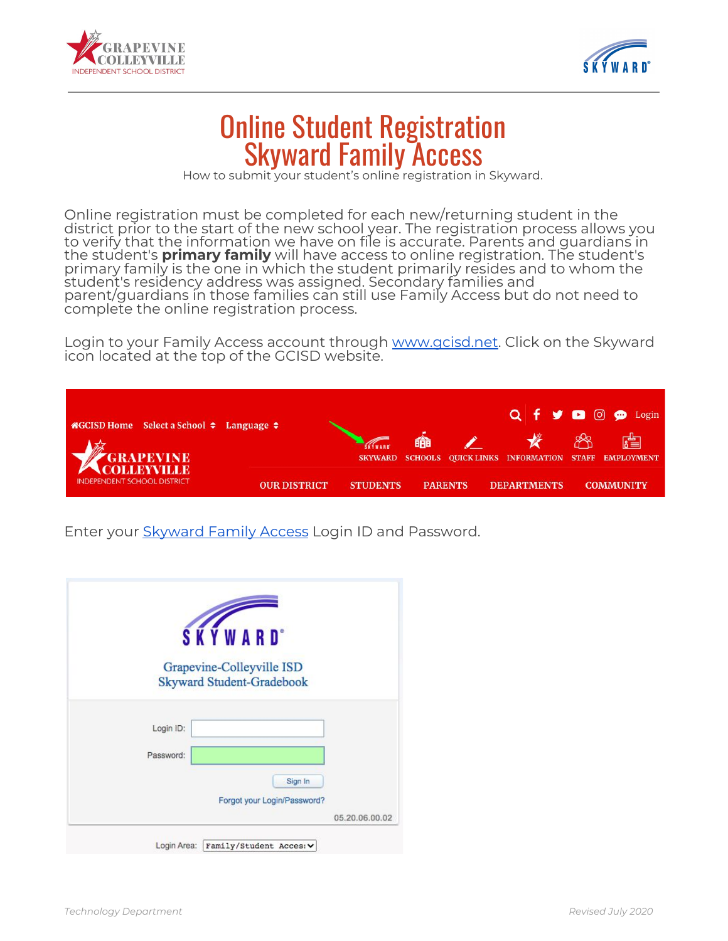



## Online Student Registration Skyward Family Access

How to submit your student's online registration in Skyward.

Online registration must be completed for each new/returning student in the district prior to the start of the new school year. The registration process allows you to verify that the information we have on file is accurate. Parents and guardians in the student's **primary family** will have access to online registration. The student's primary family is the one in which the student primarily resides and to whom the student's residency address was assigned. Secondary families and parent/guardians in those families can still use Family Access but do not need to complete the online registration process.

Login to your Family Access account through [www.gcisd.net](http://www.gcisd.net/). Click on the Skyward icon located at the top of the GCISD website.

| $\bigcirc$ GCISD Home Select a School $\bigcirc$ Language $\bigcirc$ |                     |                 |                     |                                                                  | $Q \nmid \nparallel \nmid Q \nmid \nmid Q \nmid Q$ Login |
|----------------------------------------------------------------------|---------------------|-----------------|---------------------|------------------------------------------------------------------|----------------------------------------------------------|
| COLLEYVILLE                                                          |                     | <b>SKYWARD</b>  | 命<br><b>SCHOOLS</b> | <b>SERVICE STATE</b><br>QUICK LINKS INFORMATION STAFF EMPLOYMENT | 膚                                                        |
| <b>INDEPENDENT SCHOOL DISTRICT</b>                                   | <b>OUR DISTRICT</b> | <b>STUDENTS</b> | <b>PARENTS</b>      | <b>DEPARTMENTS</b>                                               | <b>COMMUNITY</b>                                         |

Enter your [Skyward](https://skyweb.gcisd.net/scripts/wsisa.dll/WService=wsEAplus/seplog01.w) Family Access Login ID and Password.

| Grapevine-Colleyville ISD<br><b>Skyward Student-Gradebook</b> |                |
|---------------------------------------------------------------|----------------|
| Login ID:                                                     |                |
| Password:<br>Sign In<br>Forgot your Login/Password?           |                |
|                                                               | 05.20.06.00.02 |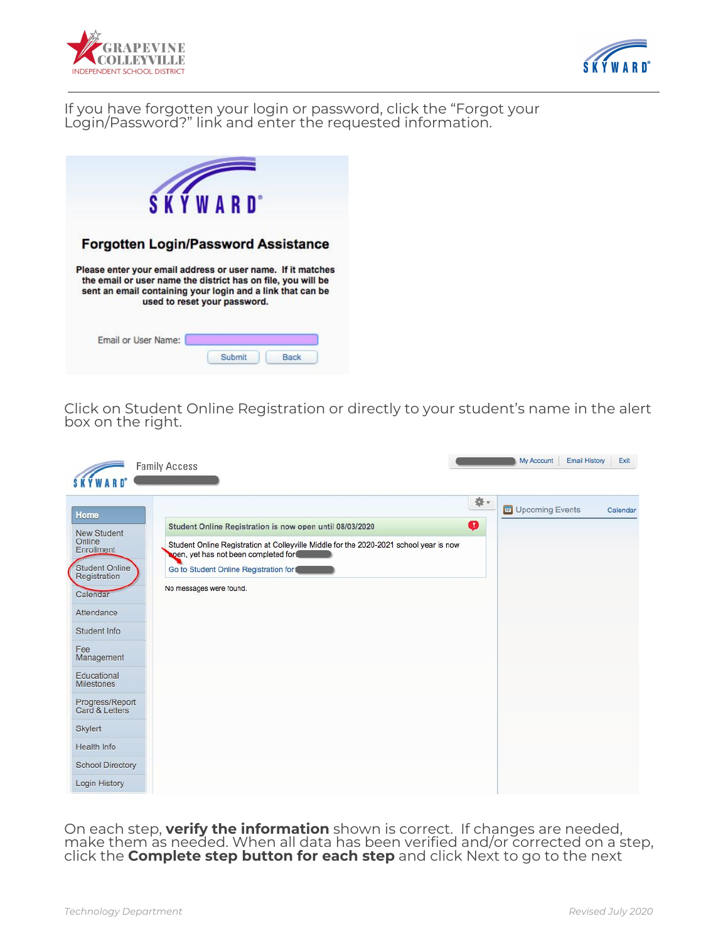



If you have forgotten your login or password, click the "Forgot your Login/Password?" link and enter the requested information.



Click on Student Online Registration or directly to your student's name in the alert box on the right.

| <b>Family Access</b>                                                                                                                                                                                                                                                                                                                                                                                                                                                                                                                                                        |         | My Account<br><b>Email History</b> | Exit     |
|-----------------------------------------------------------------------------------------------------------------------------------------------------------------------------------------------------------------------------------------------------------------------------------------------------------------------------------------------------------------------------------------------------------------------------------------------------------------------------------------------------------------------------------------------------------------------------|---------|------------------------------------|----------|
| Home<br>Student Online Registration is now open until 08/03/2020<br><b>New Student</b><br>Online<br>Student Online Registration at Colleyville Middle for the 2020-2021 school year is now<br>Enrollment<br>open, yet has not been completed for<br><b>Student Online</b><br>Go to Student Online Registration for<br>Registration<br>No messages were found.<br>Calendar<br>Attendance<br>Student Info<br>Fee<br>Management<br>Educational<br><b>Milestones</b><br>Progress/Report<br>Card & Letters<br>Skylert<br>Health Info<br><b>School Directory</b><br>Login History | ☆v<br>φ | <b>ED</b> Upcoming Events          | Calendar |

On each step, **verify the information** shown is correct. If changes are needed,<br>make them as needed. When all data has been verified and/or corrected on a step, click the **Complete step button for each step** and click Next to go to the next